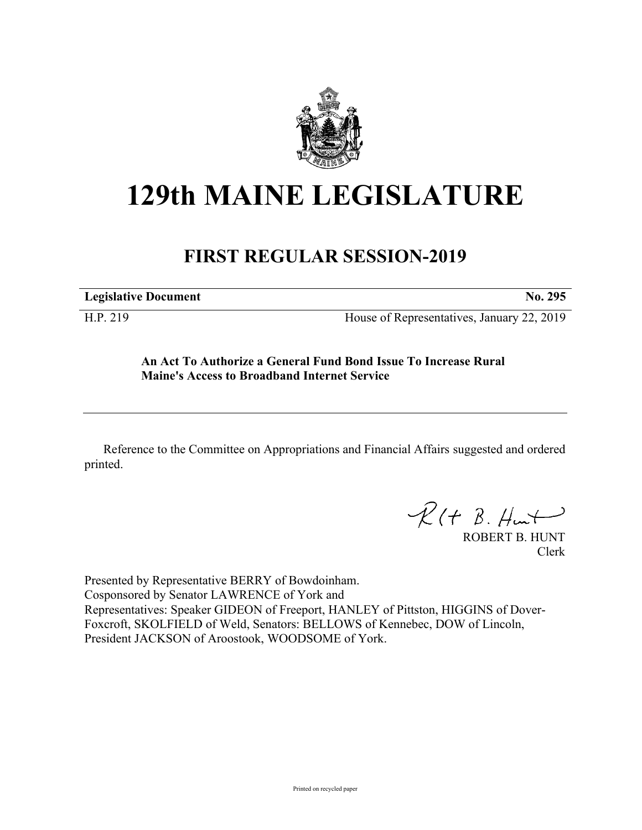

## **129th MAINE LEGISLATURE**

## **FIRST REGULAR SESSION-2019**

**Legislative Document No. 295**

H.P. 219 House of Representatives, January 22, 2019

**An Act To Authorize a General Fund Bond Issue To Increase Rural Maine's Access to Broadband Internet Service**

Reference to the Committee on Appropriations and Financial Affairs suggested and ordered printed.

 $R(H B. H<sub>un</sub>+)$ 

ROBERT B. HUNT Clerk

Presented by Representative BERRY of Bowdoinham. Cosponsored by Senator LAWRENCE of York and Representatives: Speaker GIDEON of Freeport, HANLEY of Pittston, HIGGINS of Dover-Foxcroft, SKOLFIELD of Weld, Senators: BELLOWS of Kennebec, DOW of Lincoln, President JACKSON of Aroostook, WOODSOME of York.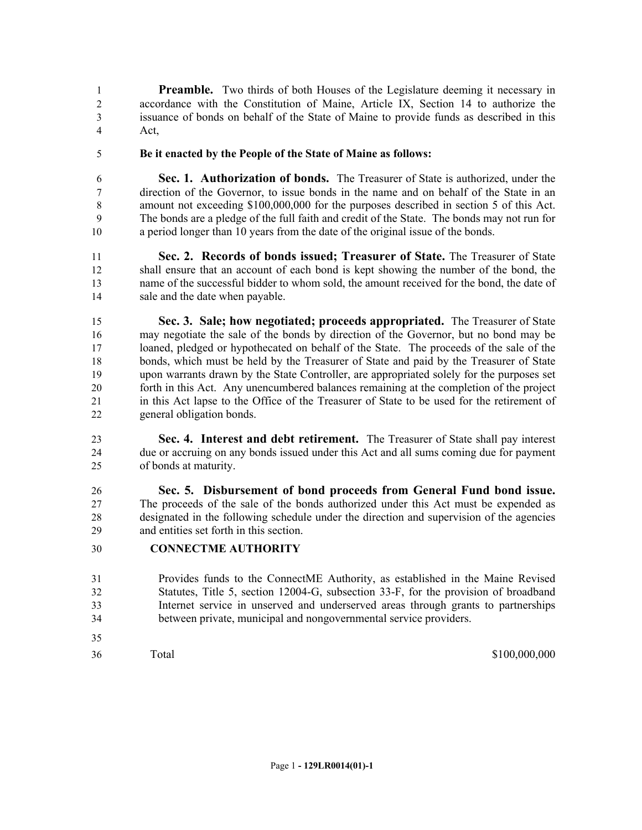**Preamble.** Two thirds of both Houses of the Legislature deeming it necessary in accordance with the Constitution of Maine, Article IX, Section 14 to authorize the issuance of bonds on behalf of the State of Maine to provide funds as described in this Act,

**Be it enacted by the People of the State of Maine as follows:**

 **Sec. 1. Authorization of bonds.** The Treasurer of State is authorized, under the direction of the Governor, to issue bonds in the name and on behalf of the State in an amount not exceeding \$100,000,000 for the purposes described in section 5 of this Act. The bonds are a pledge of the full faith and credit of the State. The bonds may not run for a period longer than 10 years from the date of the original issue of the bonds.

 **Sec. 2. Records of bonds issued; Treasurer of State.** The Treasurer of State shall ensure that an account of each bond is kept showing the number of the bond, the name of the successful bidder to whom sold, the amount received for the bond, the date of sale and the date when payable.

 **Sec. 3. Sale; how negotiated; proceeds appropriated.** The Treasurer of State may negotiate the sale of the bonds by direction of the Governor, but no bond may be loaned, pledged or hypothecated on behalf of the State. The proceeds of the sale of the bonds, which must be held by the Treasurer of State and paid by the Treasurer of State upon warrants drawn by the State Controller, are appropriated solely for the purposes set forth in this Act. Any unencumbered balances remaining at the completion of the project in this Act lapse to the Office of the Treasurer of State to be used for the retirement of general obligation bonds.

 **Sec. 4. Interest and debt retirement.** The Treasurer of State shall pay interest due or accruing on any bonds issued under this Act and all sums coming due for payment of bonds at maturity.

 **Sec. 5. Disbursement of bond proceeds from General Fund bond issue.**  The proceeds of the sale of the bonds authorized under this Act must be expended as designated in the following schedule under the direction and supervision of the agencies and entities set forth in this section.

## **CONNECTME AUTHORITY**

- Provides funds to the ConnectME Authority, as established in the Maine Revised Statutes, Title 5, section 12004-G, subsection 33-F, for the provision of broadband Internet service in unserved and underserved areas through grants to partnerships between private, municipal and nongovernmental service providers.
- 

Total \$100,000,000 \$100,000,000 \$100,000,000 \$100,000,000 \$100,000,000 \$100,000 \$100,000 \$100,000 \$100,000 \$100